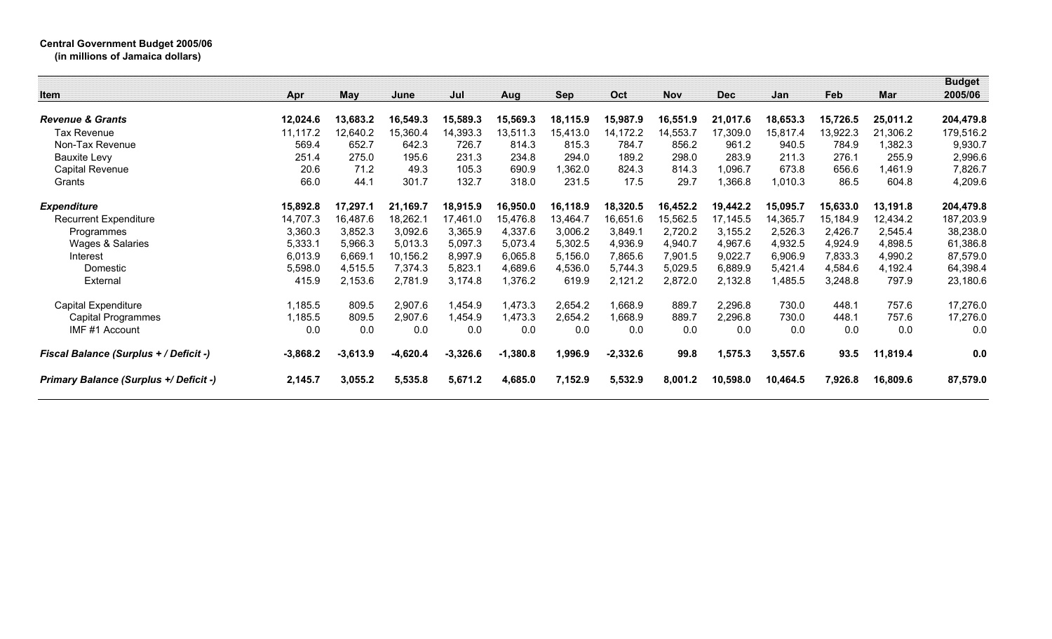## **Central Government Budget 2005/06**

**(in millions of Jamaica dollars)**

| Item                                          | Apr        | May        | June       | Jul        | Aug        | Sep      | Oct        | <b>Nov</b> | <b>Dec</b> | Jan      | Feb      | Mar      | <b>Budget</b><br>2005/06 |
|-----------------------------------------------|------------|------------|------------|------------|------------|----------|------------|------------|------------|----------|----------|----------|--------------------------|
|                                               |            |            |            |            |            |          |            |            |            |          |          |          |                          |
| <b>Revenue &amp; Grants</b>                   | 12,024.6   | 13,683.2   | 16,549.3   | 15,589.3   | 15,569.3   | 18,115.9 | 15,987.9   | 16,551.9   | 21,017.6   | 18,653.3 | 15,726.5 | 25,011.2 | 204,479.8                |
| Tax Revenue                                   | 11,117.2   | 12,640.2   | 15,360.4   | 14,393.3   | 13,511.3   | 15,413.0 | 14,172.2   | 14,553.7   | 17,309.0   | 15,817.4 | 13,922.3 | 21,306.2 | 179,516.2                |
| Non-Tax Revenue                               | 569.4      | 652.7      | 642.3      | 726.7      | 814.3      | 815.3    | 784.7      | 856.2      | 961.2      | 940.5    | 784.9    | ,382.3   | 9,930.7                  |
| <b>Bauxite Levy</b>                           | 251.4      | 275.0      | 195.6      | 231.3      | 234.8      | 294.0    | 189.2      | 298.0      | 283.9      | 211.3    | 276.1    | 255.9    | 2,996.6                  |
| <b>Capital Revenue</b>                        | 20.6       | 71.2       | 49.3       | 105.3      | 690.9      | 1,362.0  | 824.3      | 814.3      | 1,096.7    | 673.8    | 656.6    | ,461.9   | 7,826.7                  |
| Grants                                        | 66.0       | 44.1       | 301.7      | 132.7      | 318.0      | 231.5    | 17.5       | 29.7       | ,366.8     | 1,010.3  | 86.5     | 604.8    | 4,209.6                  |
| <b>Expenditure</b>                            | 15,892.8   | 17,297.1   | 21,169.7   | 18,915.9   | 16,950.0   | 16,118.9 | 18,320.5   | 16,452.2   | 19,442.2   | 15,095.7 | 15,633.0 | 13,191.8 | 204,479.8                |
| <b>Recurrent Expenditure</b>                  | 14,707.3   | 16,487.6   | 18,262.1   | 17,461.0   | 15,476.8   | 13,464.7 | 16,651.6   | 15,562.5   | 17,145.5   | 14,365.7 | 15,184.9 | 12,434.2 | 187,203.9                |
| Programmes                                    | 3,360.3    | 3,852.3    | 3,092.6    | 3,365.9    | 4,337.6    | 3,006.2  | 3,849.1    | 2,720.2    | 3,155.2    | 2,526.3  | 2,426.7  | 2,545.4  | 38,238.0                 |
| Wages & Salaries                              | 5,333.1    | 5,966.3    | 5,013.3    | 5,097.3    | 5,073.4    | 5,302.5  | 4,936.9    | 4,940.7    | 4,967.6    | 4,932.5  | 4,924.9  | 4,898.5  | 61,386.8                 |
| Interest                                      | 6,013.9    | 6,669.1    | 10,156.2   | 8,997.9    | 6,065.8    | 5,156.0  | 7,865.6    | 7,901.5    | 9,022.7    | 6,906.9  | 7,833.3  | 4,990.2  | 87,579.0                 |
| Domestic                                      | 5,598.0    | 4,515.5    | 7,374.3    | 5,823.1    | 4,689.6    | 4,536.0  | 5,744.3    | 5,029.5    | 6,889.9    | 5,421.4  | 4,584.6  | 4,192.4  | 64,398.4                 |
| External                                      | 415.9      | 2,153.6    | 2,781.9    | 3,174.8    | 1,376.2    | 619.9    | 2,121.2    | 2,872.0    | 2,132.8    | 1,485.5  | 3,248.8  | 797.9    | 23,180.6                 |
| Capital Expenditure                           | 1,185.5    | 809.5      | 2,907.6    | 1,454.9    | 1,473.3    | 2,654.2  | 1,668.9    | 889.7      | 2,296.8    | 730.0    | 448.1    | 757.6    | 17,276.0                 |
| Capital Programmes                            | 1,185.5    | 809.5      | 2,907.6    | 1,454.9    | 1,473.3    | 2,654.2  | 1,668.9    | 889.7      | 2,296.8    | 730.0    | 448.1    | 757.6    | 17,276.0                 |
| IMF#1 Account                                 | 0.0        | 0.0        | 0.0        | 0.0        | 0.0        | 0.0      | 0.0        | 0.0        | 0.0        | 0.0      | 0.0      | 0.0      | 0.0                      |
| <b>Fiscal Balance (Surplus + / Deficit -)</b> | $-3,868.2$ | $-3,613.9$ | $-4,620.4$ | $-3,326.6$ | $-1,380.8$ | 1,996.9  | $-2,332.6$ | 99.8       | 1,575.3    | 3,557.6  | 93.5     | 11,819.4 | 0.0                      |
| <b>Primary Balance (Surplus +/ Deficit -)</b> | 2,145.7    | 3,055.2    | 5,535.8    | 5,671.2    | 4,685.0    | 7,152.9  | 5,532.9    | 8,001.2    | 10,598.0   | 10,464.5 | 7,926.8  | 16,809.6 | 87,579.0                 |